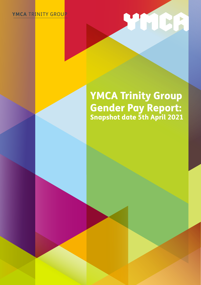## **YMCA** TRINITY GROUP

## STOCK

## YMCA Trinity Group Gender Pay Report: Snapshot date 5th April 2021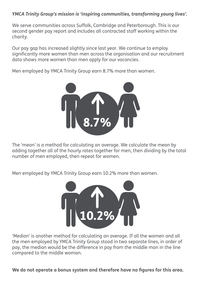## *YMCA Trinity Group's mission is 'inspiring communities, transforming young lives'.*

We serve communities across Suffolk, Cambridge and Peterborough. This is our second gender pay report and includes all contracted staff working within the charity.

Our pay gap has increased slightly since last year. We continue to employ significantly more women than men across the organisation and our recruitment data shows more women than men apply for our vacancies.

Men employed by YMCA Trinity Group earn 8.7% more than women.



The 'mean' is a method for calculating an average. We calculate the mean by adding together all of the hourly rates together for men, then dividing by the total number of men employed, then repeat for women.

Men employed by YMCA Trinity Group earn 10.2% more than women.



'Median' is another method for calculating an average. If all the women and all the men employed by YMCA Trinity Group stood in two separate lines, in order of pay, the median would be the difference in pay from the middle man in the line compared to the middle woman.

**We do not operate a bonus system and therefore have no figures for this area.**